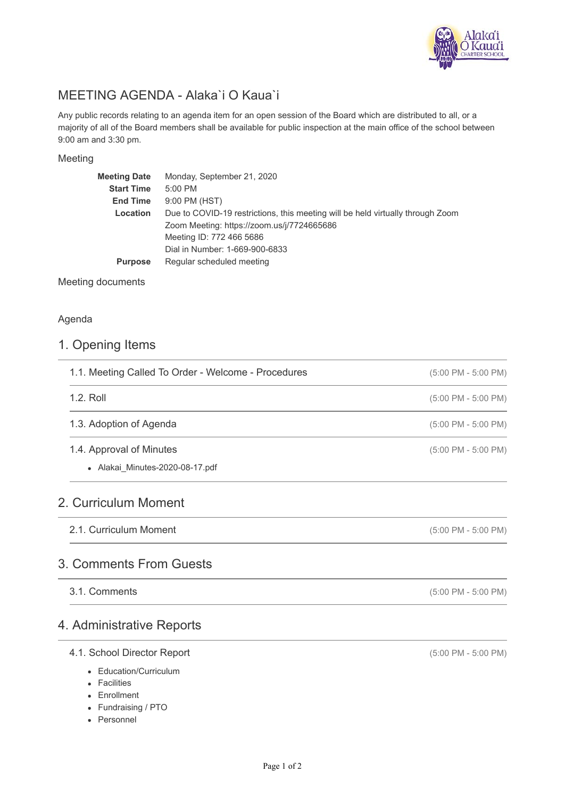

## MEETING AGENDA - Alaka`i O Kaua`i

Any public records relating to an agenda item for an open session of the Board which are distributed to all, or a majority of all of the Board members shall be available for public inspection at the main office of the school between 9:00 am and 3:30 pm.

### Meeting

| <b>Meeting Date</b>                                                                        | Monday, September 21, 2020                 |  |  |
|--------------------------------------------------------------------------------------------|--------------------------------------------|--|--|
| <b>Start Time</b>                                                                          | $5:00$ PM                                  |  |  |
| <b>End Time</b>                                                                            | 9:00 PM (HST)                              |  |  |
| Due to COVID-19 restrictions, this meeting will be held virtually through Zoom<br>Location |                                            |  |  |
|                                                                                            | Zoom Meeting: https://zoom.us/j/7724665686 |  |  |
|                                                                                            | Meeting ID: 772 466 5686                   |  |  |
|                                                                                            | Dial in Number: 1-669-900-6833             |  |  |
| <b>Purpose</b>                                                                             | Regular scheduled meeting                  |  |  |
|                                                                                            |                                            |  |  |

Meeting documents

### Agenda

### 1. Opening Items

| 1.1. Meeting Called To Order - Welcome - Procedures         | $(5:00 \text{ PM} - 5:00 \text{ PM})$ |
|-------------------------------------------------------------|---------------------------------------|
| 1.2. Roll                                                   | $(5:00 \text{ PM} - 5:00 \text{ PM})$ |
| 1.3. Adoption of Agenda                                     | $(5:00 \text{ PM} - 5:00 \text{ PM})$ |
| 1.4. Approval of Minutes<br>• Alakai Minutes-2020-08-17.pdf | $(5:00 \text{ PM} - 5:00 \text{ PM})$ |
| 2. Curriculum Moment                                        |                                       |
| 2.1. Curriculum Moment                                      | $(5:00 \text{ PM} - 5:00 \text{ PM})$ |
| 3. Comments From Guests                                     |                                       |

### 3.1. Comments

# 4. Administrative Reports

### 4.1. School Director Report

- Education/Curriculum
- Facilities
- Enrollment
- Fundraising / PTO
- Personnel

(5:00 PM - 5:00 PM)

(5:00 PM - 5:00 PM)